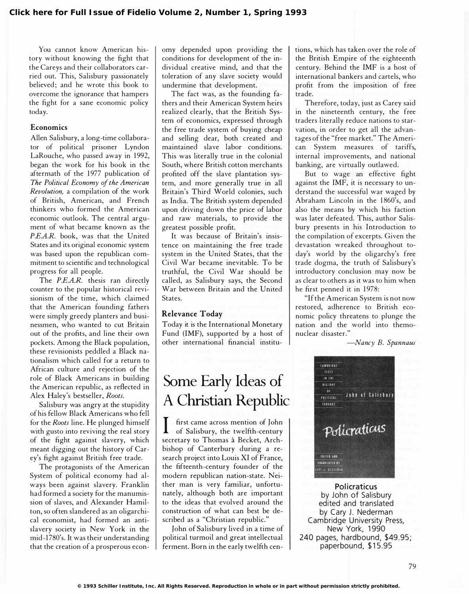You cannot know American history without knowing the fight that the Careys and their collaborators carried out. This, Salisbury passionately believed; and he wrote this book to overcome the ignorance that hampers the fight for a sane economic policy today.

#### **Economics**

Allen Salisbury, a long-time collaborator of political prisoner Lyndon LaRouche, who passed away in 1992, began the work for his book in the aftermath of the 1977 publication of The Political Economy of the American Revolution, a compilation of the work of British, American, and French thinkers who formed the American economic outlook. The central argument of what became known as the P.E.A.R. book, was that the United States and its original economic system was based upon the republican commitment to scientific and technological progress for all people.

The P.E.A.R. thesis ran directly counter to the popular historical revisionism of the time, which claimed that the American founding fathers were simply greedy planters and businessmen, who wanted to cut Britain out of the profits, and line their own pockets. Among the Black population, these revisionists peddled a Black nationalism which called for a return to African culture and rejection of the role of Black Americans in building the American republic, as reflected in Alex Haley's bestseller, Roots.

Salisbury was angry at the stupidity of his fellow Black Americans who fell for the Roots line. He plunged himself with gusto into reviving the real story of the fight against slavery, which meant digging out the history of Carey's fight against British free trade.

The protagonists of the American System of political economy had always been against slavery. Franklin had formed a society for the manumission of slaves, and Alexander Hamilton, so often slandered as an oligarchical economist, had formed an antislavery society in New York in the mid-1 780's. It was their understanding that the creation of a prosperous economy depended upon providing the conditions for development of the individual creative mind, and that the toleration of any slave society would undermine that development.

The fact was, as the founding fathers and their American System heirs realized clearly, that the British System of economics, expressed through the free trade system of buying cheap and selling dear, both created and maintained slave labor conditions. This was literally true in the colonial South, where British cotton merchants profited off the slave plantation system, and more generally true in all Britain's Third World colonies, such as India. The British system depended upon driving down the price of labor and raw materials, to provide the greatest possible profit.

It was because of Britain's insistence on maintaining the free trade system in the United States, that the Civil War became inevitable. To be truthful, the Civil War should be called, as Salisbury says, the Second War between Britain and the United States.

### Relevance Today

Today it is the International Monetary Fund (IMF), supported by a host of other international financial institu-

# Some Early Ideas of A Christian Republic

I first came across mention of John of Salisbury, the twelfth-century secretary to Thomas à Becket, Archbishop of Canterbury during a research project into Louis XI of France, the fifteenth-century founder of the modern republican nation-state. Neither man is very familiar, unfortunately, although both are important to the ideas that evolved around the construction of what can best be described as a "Christian republic."

John of Salisbury lived in a time of political turmoil and great intellectual ferment. Born in the early twelfth centions, which has taken over the role of the British Empire of the eighteenth century. Behind the IMF is a host of international bankers and cartels, who profit from the imposition of free trade.

Therefore, today, just as Carey said in the nineteenth century, the free traders literally reduce nations to starvation, in order to get all the advantages of the "free market." The American System measures of tariffs, internal improvements, and national banking, are virtually outlawed.

But to wage an effective fight against the IMF, it is necessary to understand the successful war waged by Abraham Lincoln in the 1860's, and also the means by which his faction was later defeated. This, author Salisbury presents in his Introduction to the compilation of excerpts. Given the devastation wreaked throughout today's world by the oligarchy's free trade dogma, the truth of Salisbury's introductory conclusion may now be as clear to others as it was to him when he first penned it in 1978:

"If the American System is not now restored, adherence to British economic policy threatens to plunge the nation and the world into themonuclear disaster."

-Nancy B. Spannaus



Policraticus by John of Salisbury edited and translated by Cary J. Nederman Cambridge University Press, New York, 1990 240 pages, hardbound, \$49.95; paperbound, \$15.95